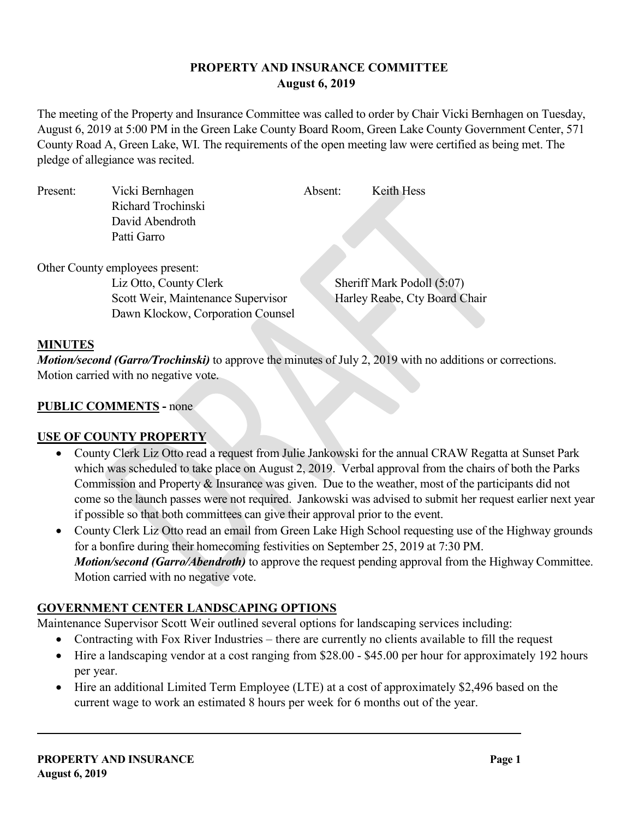# **PROPERTY AND INSURANCE COMMITTEE August 6, 2019**

The meeting of the Property and Insurance Committee was called to order by Chair Vicki Bernhagen on Tuesday, August 6, 2019 at 5:00 PM in the Green Lake County Board Room, Green Lake County Government Center, 571 County Road A, Green Lake, WI. The requirements of the open meeting law were certified as being met. The pledge of allegiance was recited.

| Present: | Vicki Bernhagen                    | Absent: | Keith Hess                    |
|----------|------------------------------------|---------|-------------------------------|
|          | Richard Trochinski                 |         |                               |
|          | David Abendroth                    |         |                               |
|          | Patti Garro                        |         |                               |
|          |                                    |         |                               |
|          | Other County employees present:    |         |                               |
|          | Liz Otto, County Clerk             |         | Sheriff Mark Podoll (5:07)    |
|          | Scott Weir, Maintenance Supervisor |         | Harley Reabe, Cty Board Chair |
|          | Dawn Klockow, Corporation Counsel  |         |                               |
|          |                                    |         |                               |

# **MINUTES**

*Motion/second (Garro/Trochinski)* to approve the minutes of July 2, 2019 with no additions or corrections. Motion carried with no negative vote.

# **PUBLIC COMMENTS -** none

# **USE OF COUNTY PROPERTY**

- County Clerk Liz Otto read a request from Julie Jankowski for the annual CRAW Regatta at Sunset Park which was scheduled to take place on August 2, 2019. Verbal approval from the chairs of both the Parks Commission and Property & Insurance was given. Due to the weather, most of the participants did not come so the launch passes were not required. Jankowski was advised to submit her request earlier next year if possible so that both committees can give their approval prior to the event.
- County Clerk Liz Otto read an email from Green Lake High School requesting use of the Highway grounds for a bonfire during their homecoming festivities on September 25, 2019 at 7:30 PM. *Motion/second (Garro/Abendroth)* to approve the request pending approval from the Highway Committee. Motion carried with no negative vote.

# **GOVERNMENT CENTER LANDSCAPING OPTIONS**

Maintenance Supervisor Scott Weir outlined several options for landscaping services including:

- Contracting with Fox River Industries there are currently no clients available to fill the request
- Hire a landscaping vendor at a cost ranging from \$28.00 \$45.00 per hour for approximately 192 hours per year.
- Hire an additional Limited Term Employee (LTE) at a cost of approximately \$2,496 based on the current wage to work an estimated 8 hours per week for 6 months out of the year.